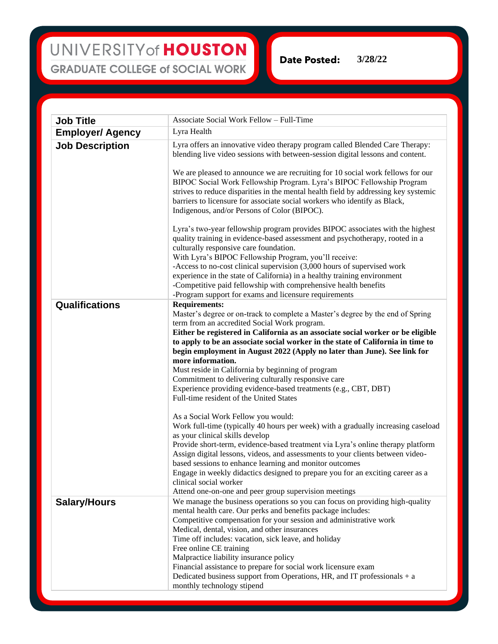**Date Posted: 3/28/22**

**Job Title** Associate Social Work Fellow – Full-Time **Employer/ Agency** Lyra Health **Job Description** Lyra offers an innovative video therapy program called Blended Care Therapy: blending live video sessions with between-session digital lessons and content. We are pleased to announce we are recruiting for 10 social work fellows for our BIPOC Social Work Fellowship Program. Lyra's BIPOC Fellowship Program strives to reduce disparities in the mental health field by addressing key systemic barriers to licensure for associate social workers who identify as Black, Indigenous, and/or Persons of Color (BIPOC). Lyra's two-year fellowship program provides BIPOC associates with the highest quality training in evidence-based assessment and psychotherapy, rooted in a culturally responsive care foundation. With Lyra's BIPOC Fellowship Program, you'll receive: -Access to no-cost clinical supervision (3,000 hours of supervised work experience in the state of California) in a healthy training environment -Competitive paid fellowship with comprehensive health benefits -Program support for exams and licensure requirements **Qualifications Requirements:** Master's degree or on-track to complete a Master's degree by the end of Spring term from an accredited Social Work program. **Either be registered in California as an associate social worker or be eligible to apply to be an associate social worker in the state of California in time to begin employment in August 2022 (Apply no later than June). See link for more information.** Must reside in California by beginning of program Commitment to delivering culturally responsive care Experience providing evidence-based treatments (e.g., CBT, DBT) Full-time resident of the United States As a Social Work Fellow you would: Work full-time (typically 40 hours per week) with a gradually increasing caseload as your clinical skills develop Provide short-term, evidence-based treatment via Lyra's online therapy platform Assign digital lessons, videos, and assessments to your clients between videobased sessions to enhance learning and monitor outcomes Engage in weekly didactics designed to prepare you for an exciting career as a clinical social worker Attend one-on-one and peer group supervision meetings **Salary/Hours** We manage the business operations so you can focus on providing high-quality mental health care. Our perks and benefits package includes: Competitive compensation for your session and administrative work Medical, dental, vision, and other insurances Time off includes: vacation, sick leave, and holiday Free online CE training Malpractice liability insurance policy Financial assistance to prepare for social work licensure exam Dedicated business support from Operations, HR, and IT professionals  $+$  a monthly technology stipend